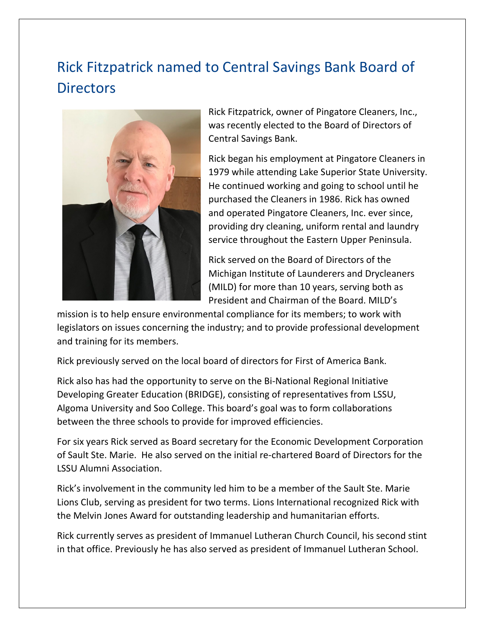## Rick Fitzpatrick named to Central Savings Bank Board of **Directors**



Rick Fitzpatrick, owner of Pingatore Cleaners, Inc., was recently elected to the Board of Directors of Central Savings Bank.

Rick began his employment at Pingatore Cleaners in 1979 while attending Lake Superior State University. He continued working and going to school until he purchased the Cleaners in 1986. Rick has owned and operated Pingatore Cleaners, Inc. ever since, providing dry cleaning, uniform rental and laundry service throughout the Eastern Upper Peninsula.

Rick served on the Board of Directors of the Michigan Institute of Launderers and Drycleaners (MILD) for more than 10 years, serving both as President and Chairman of the Board. MILD's

mission is to help ensure environmental compliance for its members; to work with legislators on issues concerning the industry; and to provide professional development and training for its members.

Rick previously served on the local board of directors for First of America Bank.

Rick also has had the opportunity to serve on the Bi-National Regional Initiative Developing Greater Education (BRIDGE), consisting of representatives from LSSU, Algoma University and Soo College. This board's goal was to form collaborations between the three schools to provide for improved efficiencies.

For six years Rick served as Board secretary for the Economic Development Corporation of Sault Ste. Marie. He also served on the initial re-chartered Board of Directors for the LSSU Alumni Association.

Rick's involvement in the community led him to be a member of the Sault Ste. Marie Lions Club, serving as president for two terms. Lions International recognized Rick with the Melvin Jones Award for outstanding leadership and humanitarian efforts.

Rick currently serves as president of Immanuel Lutheran Church Council, his second stint in that office. Previously he has also served as president of Immanuel Lutheran School.